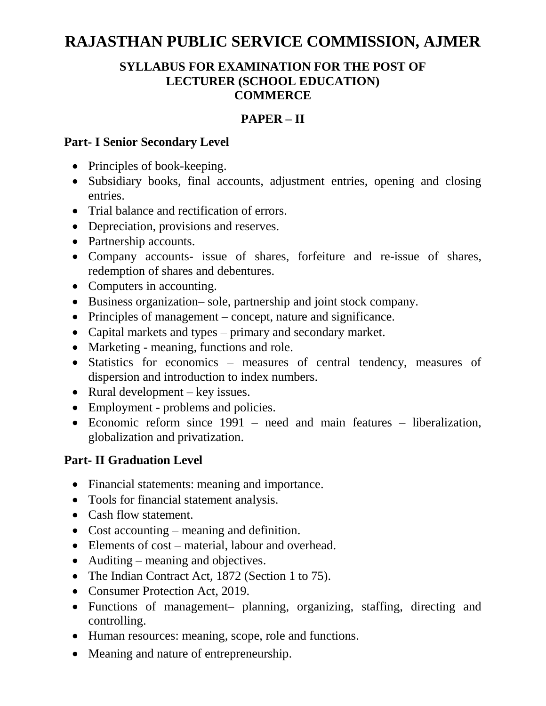# **RAJASTHAN PUBLIC SERVICE COMMISSION, AJMER**

### **SYLLABUS FOR EXAMINATION FOR THE POST OF LECTURER (SCHOOL EDUCATION) COMMERCE**

### **PAPER – II**

#### **Part- I Senior Secondary Level**

- Principles of book-keeping.
- Subsidiary books, final accounts, adjustment entries, opening and closing entries.
- Trial balance and rectification of errors.
- Depreciation, provisions and reserves.
- Partnership accounts.
- Company accounts- issue of shares, forfeiture and re-issue of shares, redemption of shares and debentures.
- Computers in accounting.
- Business organization– sole, partnership and joint stock company.
- Principles of management concept, nature and significance.
- Capital markets and types primary and secondary market.
- Marketing meaning, functions and role.
- Statistics for economics measures of central tendency, measures of dispersion and introduction to index numbers.
- Rural development key issues.
- Employment problems and policies.
- Economic reform since 1991 need and main features liberalization, globalization and privatization.

### **Part- II Graduation Level**

- Financial statements: meaning and importance.
- Tools for financial statement analysis.
- Cash flow statement.
- Cost accounting meaning and definition.
- Elements of cost material, labour and overhead.
- Auditing meaning and objectives.
- The Indian Contract Act, 1872 (Section 1 to 75).
- Consumer Protection Act, 2019.
- Functions of management– planning, organizing, staffing, directing and controlling.
- Human resources: meaning, scope, role and functions.
- Meaning and nature of entrepreneurship.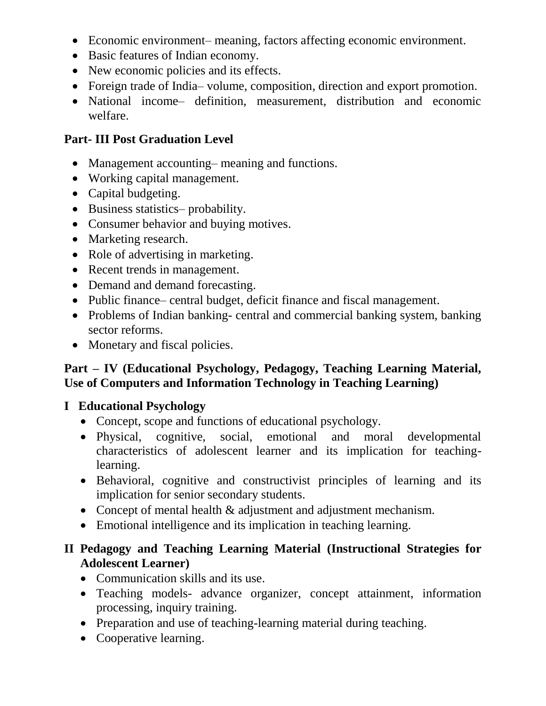- Economic environment– meaning, factors affecting economic environment.
- Basic features of Indian economy.
- New economic policies and its effects.
- Foreign trade of India– volume, composition, direction and export promotion.
- National income– definition, measurement, distribution and economic welfare.

# **Part- III Post Graduation Level**

- Management accounting– meaning and functions.
- Working capital management.
- Capital budgeting.
- Business statistics– probability.
- Consumer behavior and buying motives.
- Marketing research.
- Role of advertising in marketing.
- Recent trends in management.
- Demand and demand forecasting.
- Public finance– central budget, deficit finance and fiscal management.
- Problems of Indian banking- central and commercial banking system, banking sector reforms.
- Monetary and fiscal policies.

# **Part – IV (Educational Psychology, Pedagogy, Teaching Learning Material, Use of Computers and Information Technology in Teaching Learning)**

# **I Educational Psychology**

- Concept, scope and functions of educational psychology.
- Physical, cognitive, social, emotional and moral developmental characteristics of adolescent learner and its implication for teachinglearning.
- Behavioral, cognitive and constructivist principles of learning and its implication for senior secondary students.
- Concept of mental health & adjustment and adjustment mechanism.
- Emotional intelligence and its implication in teaching learning.

# **II Pedagogy and Teaching Learning Material (Instructional Strategies for Adolescent Learner)**

- Communication skills and its use.
- Teaching models- advance organizer, concept attainment, information processing, inquiry training.
- Preparation and use of teaching-learning material during teaching.
- Cooperative learning.